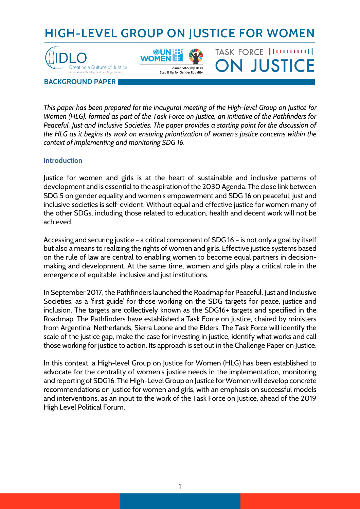# **HIGH-LEVEL GROUP ON JUSTICE FOR WOMEN**

TASK FORCE [ITTTTTTT]]

**ON JUSTICE** 





Sten It I In for Gender Fauality

**BACKGROUND PAPER**

*This paper has been prepared for the inaugural meeting of the High-level Group on Justice for Women (HLG), formed as part of the Task Force on Justice, an initiative of the Pathfinders for Peaceful, Just and Inclusive Societies. The paper provides a starting point for the discussion of the HLG as it begins its work on ensuring prioritization of women's justice concerns within the context of implementing and monitoring SDG 16.* 

# **Introduction**

Justice for women and girls is at the heart of sustainable and inclusive patterns of development and is essential to the aspiration of the 2030 Agenda. The close link between SDG 5 on gender equality and women's empowerment and SDG 16 on peaceful, just and inclusive societies is self-evident. Without equal and effective justice for women many of the other SDGs, including those related to education, health and decent work will not be achieved.

Accessing and securing justice – a critical component of SDG 16 – is not only a goal by itself but also a means to realizing the rights of women and girls. Effective justice systems based on the rule of law are central to enabling women to become equal partners in decisionmaking and development. At the same time, women and girls play a critical role in the emergence of equitable, inclusive and just institutions.

In September 2017, the Pathfinders launched the Roadmap for Peaceful, Just and Inclusive Societies, as a 'first guide' for those working on the SDG targets for peace, justice and inclusion. The targets are collectively known as the SDG16+ targets and specified in the Roadmap. The Pathfinders have established a Task Force on Justice, chaired by ministers from Argentina, Netherlands, Sierra Leone and the Elders. The Task Force will identify the scale of the justice gap, make the case for investing in justice, identify what works and call those working for justice to action. Its approach is set out in the Challenge Paper on Justice.

In this context, a High-level Group on Justice for Women (HLG) has been established to advocate for the centrality of women's justice needs in the implementation, monitoring and reporting of SDG16. The High-Level Group on Justice for Women will develop concrete recommendations on justice for women and girls, with an emphasis on successful models and interventions, as an input to the work of the Task Force on Justice, ahead of the 2019 High Level Political Forum.

1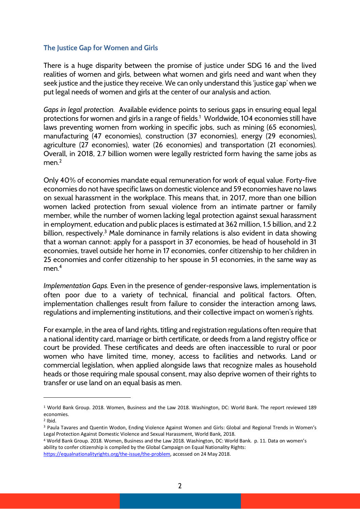# **The Justice Gap for Women and Girls**

There is a huge disparity between the promise of justice under SDG 16 and the lived realities of women and girls, between what women and girls need and want when they seek justice and the justice they receive. We can only understand this 'justice gap' when we put legal needs of women and girls at the center of our analysis and action.

*Gaps in legal protection.* Available evidence points to serious gaps in ensuring equal legal protections for women and girls in a range of fields. 1 Worldwide, 104 economies still have laws preventing women from working in specific jobs, such as mining (65 economies), manufacturing (47 economies), construction (37 economies), energy (29 economies), agriculture (27 economies), water (26 economies) and transportation (21 economies). Overall, in 2018, 2.7 billion women were legally restricted form having the same jobs as men $<sup>2</sup>$ </sup>

Only 40% of economies mandate equal remuneration for work of equal value. Forty-five economies do not have specific laws on domestic violence and 59 economies have no laws on sexual harassment in the workplace. This means that, in 2017, more than one billion women lacked protection from sexual violence from an intimate partner or family member, while the number of women lacking legal protection against sexual harassment in employment, education and public places is estimated at 362 million, 1.5 billion, and 2.2 billion, respectively.<sup>3</sup> Male dominance in family relations is also evident in data showing that a woman cannot: apply for a passport in 37 economies, be head of household in 31 economies, travel outside her home in 17 economies, confer citizenship to her children in 25 economies and confer citizenship to her spouse in 51 economies, in the same way as men.<sup>4</sup>

*Implementation Gaps.* Even in the presence of gender-responsive laws, implementation is often poor due to a variety of technical, financial and political factors. Often, implementation challenges result from failure to consider the interaction among laws, regulations and implementing institutions, and their collective impact on women's rights.

For example, in the area of land rights, titling and registration regulations often require that a national identity card, marriage or birth certificate, or deeds from a land registry office or court be provided. These certificates and deeds are often inaccessible to rural or poor women who have limited time, money, access to facilities and networks. Land or commercial legislation, when applied alongside laws that recognize males as household heads or those requiring male spousal consent, may also deprive women of their rights to transfer or use land on an equal basis as men.

 $\overline{\phantom{a}}$ 

<sup>1</sup> World Bank Group. 2018. Women, Business and the Law 2018. Washington, DC: World Bank. The report reviewed 189 economies.

 $2$  Ibid.

<sup>3</sup> Paula Tavares and Quentin Wodon, Ending Violence Against Women and Girls: Global and Regional Trends in Women's Legal Protection Against Domestic Violence and Sexual Harassment, World Bank, 2018.

<sup>4</sup> World Bank Group. 2018. Women, Business and the Law 2018. Washington, DC: World Bank. p. 11. Data on women's ability to confer citizenship is compiled by the Global Campaign on Equal Nationality Rights:

https://equalnationalityrights.org/the-issue/the-problem, accessed on 24 May 2018.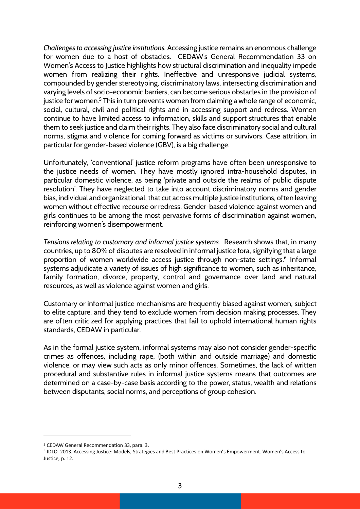*Challenges to accessing justice institutions.* Accessing justice remains an enormous challenge for women due to a host of obstacles. CEDAW's General Recommendation 33 on Women's Access to Justice highlights how structural discrimination and inequality impede women from realizing their rights. Ineffective and unresponsive judicial systems, compounded by gender stereotyping, discriminatory laws, intersecting discrimination and varying levels of socio-economic barriers, can become serious obstacles in the provision of justice for women.<sup>5</sup> This in turn prevents women from claiming a whole range of economic, social, cultural, civil and political rights and in accessing support and redress. Women continue to have limited access to information, skills and support structures that enable them to seek justice and claim their rights. They also face discriminatory social and cultural norms, stigma and violence for coming forward as victims or survivors. Case attrition, in particular for gender-based violence (GBV), is a big challenge.

Unfortunately, 'conventional' justice reform programs have often been unresponsive to the justice needs of women. They have mostly ignored intra-household disputes, in particular domestic violence, as being 'private and outside the realms of public dispute resolution'. They have neglected to take into account discriminatory norms and gender bias, individual and organizational, that cut across multiple justice institutions, often leaving women without effective recourse or redress. Gender-based violence against women and girls continues to be among the most pervasive forms of discrimination against women, reinforcing women's disempowerment.

*Tensions relating to customary and informal justice systems.* Research shows that, in many countries, up to 80% of disputes are resolved in informal justice fora, signifying that a large proportion of women worldwide access justice through non-state settings.<sup>6</sup> Informal systems adjudicate a variety of issues of high significance to women, such as inheritance, family formation, divorce, property, control and governance over land and natural resources, as well as violence against women and girls.

Customary or informal justice mechanisms are frequently biased against women, subject to elite capture, and they tend to exclude women from decision making processes. They are often criticized for applying practices that fail to uphold international human rights standards, CEDAW in particular.

As in the formal justice system, informal systems may also not consider gender-specific crimes as offences, including rape, (both within and outside marriage) and domestic violence, or may view such acts as only minor offences. Sometimes, the lack of written procedural and substantive rules in informal justice systems means that outcomes are determined on a case-by-case basis according to the power, status, wealth and relations between disputants, social norms, and perceptions of group cohesion.

l

<sup>&</sup>lt;sup>5</sup> CEDAW General Recommendation 33, para. 3.<br><sup>6</sup> IDLO. 2013. Accessing Justice: Models, Strategies and Best Practices on Women's Empowerment. Women's Access to Justice, p. 12.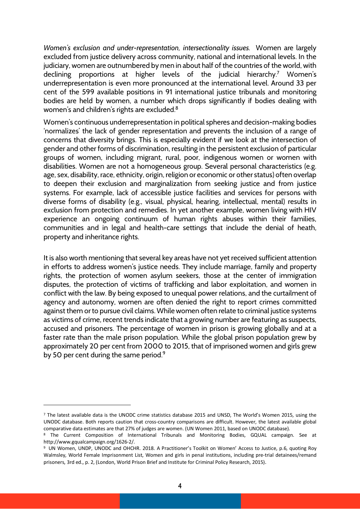*Women's exclusion and under-representation, intersectionality issues.* Women are largely excluded from justice delivery across community, national and international levels. In the judiciary, women are outnumbered by men in about half of the countries of the world, with declining proportions at higher levels of the judicial hierarchy.<sup>7</sup> Women's underrepresentation is even more pronounced at the international level. Around 33 per cent of the 599 available positions in 91 international justice tribunals and monitoring bodies are held by women, a number which drops significantly if bodies dealing with women's and children's rights are excluded.<sup>8</sup>

Women's continuous underrepresentation in political spheres and decision-making bodies 'normalizes' the lack of gender representation and prevents the inclusion of a range of concerns that diversity brings. This is especially evident if we look at the intersection of gender and other forms of discrimination, resulting in the persistent exclusion of particular groups of women, including migrant, rural, poor, indigenous women or women with disabilities. Women are not a homogeneous group. Several personal characteristics (e.g. age, sex, disability, race, ethnicity, origin, religion or economic or other status) often overlap to deepen their exclusion and marginalization from seeking justice and from justice systems. For example, lack of accessible justice facilities and services for persons with diverse forms of disability (e.g., visual, physical, hearing, intellectual, mental) results in exclusion from protection and remedies. In yet another example, women living with HIV experience an ongoing continuum of human rights abuses within their families, communities and in legal and health-care settings that include the denial of heath, property and inheritance rights.

It is also worth mentioning that several key areas have not yet received sufficient attention in efforts to address women's justice needs. They include marriage, family and property rights, the protection of women asylum seekers, those at the center of immigration disputes, the protection of victims of trafficking and labor exploitation, and women in conflict with the law. By being exposed to unequal power relations, and the curtailment of agency and autonomy, women are often denied the right to report crimes committed against them or to pursue civil claims. While women often relate to criminal justice systems as victims of crime, recent trends indicate that a growing number are featuring as suspects, accused and prisoners. The percentage of women in prison is growing globally and at a faster rate than the male prison population. While the global prison population grew by approximately 20 per cent from 2000 to 2015, that of imprisoned women and girls grew by 50 per cent during the same period.<sup>9</sup>

 $\overline{\phantom{a}}$ 

<sup>7</sup> The latest available data is the UNODC crime statistics database 2015 and UNSD, The World's Women 2015, using the UNODC database. Both reports caution that cross-country comparisons are difficult. However, the latest available global comparative data estimates are that 27% of judges are women. (UN Women 2011, based on UNODC database).

<sup>8</sup> The Current Composition of International Tribunals and Monitoring Bodies, GQUAL campaign. See at http://www.gqualcampaign.org/1626-2/.

<sup>9</sup> UN Women, UNDP, UNODC and OHCHR. 2018. A Practitioner's Toolkit on Women' Access to Justice, p.6, quoting Roy Walmsley, World Female Imprisonment List, Women and girls in penal institutions, including pre-trial detainees/remand prisoners, 3rd ed., p. 2, (London, World Prison Brief and Institute for Criminal Policy Research, 2015).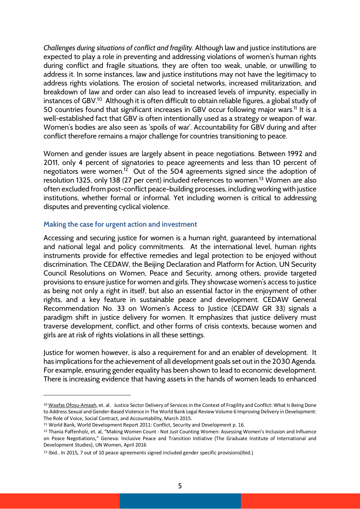*Challenges during situations of conflict and fragility.* Although law and justice institutions are expected to play a role in preventing and addressing violations of women's human rights during conflict and fragile situations, they are often too weak, unable, or unwilling to address it. In some instances, law and justice institutions may not have the legitimacy to address rights violations. The erosion of societal networks, increased militarization, and breakdown of law and order can also lead to increased levels of impunity, especially in instances of GBV.<sup>10</sup> Although it is often difficult to obtain reliable figures, a global study of 50 countries found that significant increases in GBV occur following major wars.<sup>11</sup> It is a well-established fact that GBV is often intentionally used as a strategy or weapon of war. Women's bodies are also seen as 'spoils of war'. Accountability for GBV during and after conflict therefore remains a major challenge for countries transitioning to peace.

Women and gender issues are largely absent in peace negotiations. Between 1992 and 2011, only 4 percent of signatories to peace agreements and less than 10 percent of negotiators were women.<sup>12</sup> Out of the 504 agreements signed since the adoption of resolution 1325, only 138 (27 per cent) included references to women.<sup>13</sup> Women are also often excluded from post-conflict peace-building processes, including working with justice institutions, whether formal or informal. Yet including women is critical to addressing disputes and preventing cyclical violence.

#### **Making the case for urgent action and investment**

Accessing and securing justice for women is a human right, guaranteed by international and national legal and policy commitments. At the international level, human rights instruments provide for effective remedies and legal protection to be enjoyed without discrimination. The CEDAW, the Beijing Declaration and Platform for Action, UN Security Council Resolutions on Women, Peace and Security, among others, provide targeted provisions to ensure justice for women and girls. They showcase women's access to justice as being not only a right in itself, but also an essential factor in the enjoyment of other rights, and a key feature in sustainable peace and development. CEDAW General Recommendation No. 33 on Women's Access to Justice (CEDAW GR 33) signals a paradigm shift in justice delivery for women. It emphasizes that justice delivery must traverse development, conflict, and other forms of crisis contexts, because women and girls are at risk of rights violations in all these settings.

Justice for women however, is also a requirement for and an enabler of development. It has implications for the achievement of all development goals set out in the 2030 Agenda. For example, ensuring gender equality has been shown to lead to economic development. There is increasing evidence that having assets in the hands of women leads to enhanced

l

<sup>&</sup>lt;sup>10</sup> Waafas Ofosu-Amaah, et. al. Justice Sector Delivery of Services in the Context of Fragility and Conflict: What Is Being Done to Address Sexual and Gender-Based Violence in The World Bank Legal Review Volume 6 Improving Delivery in Development: The Role of Voice, Social Contract, and Accountability, March 2015.

<sup>11</sup> World Bank, World Development Report 2011: Conflict, Security and Development p. 16.

<sup>&</sup>lt;sup>12</sup> Thania Paffenholz, et. al, "Making Women Count - Not Just Counting Women: Assessing Women's Inclusion and Influence on Peace Negotiations," Geneva: Inclusive Peace and Transition Initiative (The Graduate Institute of International and Development Studies), UN Women, April 2016

<sup>13</sup> Ibid.. In 2015, 7 out of 10 peace agreements signed included gender specific provisions(Ibid.)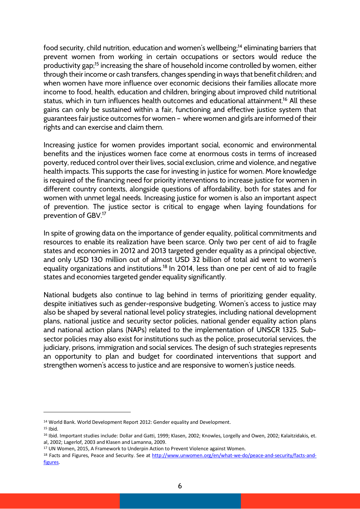food security, child nutrition, education and women's wellbeing;<sup>14</sup> eliminating barriers that prevent women from working in certain occupations or sectors would reduce the productivity gap;<sup>15</sup> increasing the share of household income controlled by women, either through their income or cash transfers, changes spending in ways that benefit children; and when women have more influence over economic decisions their families allocate more income to food, health, education and children, bringing about improved child nutritional status, which in turn influences health outcomes and educational attainment. <sup>16</sup> All these gains can only be sustained within a fair, functioning and effective justice system that guarantees fair justice outcomes for women – where women and girls are informed of their rights and can exercise and claim them.

Increasing justice for women provides important social, economic and environmental benefits and the injustices women face come at enormous costs in terms of increased poverty, reduced control over their lives, social exclusion, crime and violence, and negative health impacts. This supports the case for investing in justice for women. More knowledge is required of the financing need for priority interventions to increase justice for women in different country contexts, alongside questions of affordability, both for states and for women with unmet legal needs. Increasing justice for women is also an important aspect of prevention. The justice sector is critical to engage when laying foundations for prevention of GBV.17

In spite of growing data on the importance of gender equality, political commitments and resources to enable its realization have been scarce. Only two per cent of aid to fragile states and economies in 2012 and 2013 targeted gender equality as a principal objective, and only USD 130 million out of almost USD 32 billion of total aid went to women's equality organizations and institutions.<sup>18</sup> In 2014, less than one per cent of aid to fragile states and economies targeted gender equality significantly.

National budgets also continue to lag behind in terms of prioritizing gender equality, despite initiatives such as gender-responsive budgeting. Women's access to justice may also be shaped by several national level policy strategies, including national development plans, national justice and security sector policies, national gender equality action plans and national action plans (NAPs) related to the implementation of UNSCR 1325. Subsector policies may also exist for institutions such as the police, prosecutorial services, the judiciary, prisons, immigration and social services. The design of such strategies represents an opportunity to plan and budget for coordinated interventions that support and strengthen women's access to justice and are responsive to women's justice needs.

 $\overline{a}$ 

<sup>&</sup>lt;sup>14</sup> World Bank. World Development Report 2012: Gender equality and Development.<br><sup>15</sup> Ibid.

<sup>16</sup> Ibid. Important studies include: Dollar and Gatti, 1999; Klasen, 2002; Knowles, Lorgelly and Owen, 2002; Kalaitzidakis, et. al, 2002; Lagerlof, 2003 and Klasen and Lamanna, 2009.

<sup>17</sup> UN Women, 2015, A Framework to Underpin Action to Prevent Violence against Women.

<sup>18</sup> Facts and Figures, Peace and Security. See at http://www.unwomen.org/en/what-we-do/peace-and-security/facts-andfigures.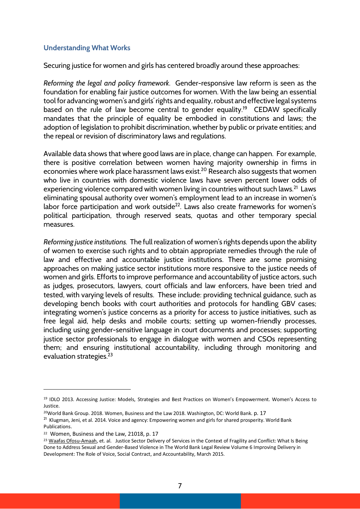### **Understanding What Works**

Securing justice for women and girls has centered broadly around these approaches:

*Reforming the legal and policy framework*. Gender-responsive law reform is seen as the foundation for enabling fair justice outcomes for women. With the law being an essential tool for advancing women's and girls' rights and equality, robust and effective legal systems based on the rule of law become central to gender equality.<sup>19</sup> CEDAW specifically mandates that the principle of equality be embodied in constitutions and laws; the adoption of legislation to prohibit discrimination, whether by public or private entities; and the repeal or revision of discriminatory laws and regulations.

Available data shows that where good laws are in place, change can happen. For example, there is positive correlation between women having majority ownership in firms in economies where work place harassment laws exist.<sup>20</sup> Research also suggests that women who live in countries with domestic violence laws have seven percent lower odds of experiencing violence compared with women living in countries without such laws.<sup>21</sup> Laws eliminating spousal authority over women's employment lead to an increase in women's labor force participation and work outside $^{22}$ . Laws also create frameworks for women's political participation, through reserved seats, quotas and other temporary special measures.

*Reforming justice institutions.* The full realization of women's rights depends upon the ability of women to exercise such rights and to obtain appropriate remedies through the rule of law and effective and accountable justice institutions. There are some promising approaches on making justice sector institutions more responsive to the justice needs of women and girls. Efforts to improve performance and accountability of justice actors, such as judges, prosecutors, lawyers, court officials and law enforcers, have been tried and tested, with varying levels of results. These include: providing technical guidance, such as developing bench books with court authorities and protocols for handling GBV cases; integrating women's justice concerns as a priority for access to justice initiatives, such as free legal aid, help desks and mobile courts; setting up women-friendly processes, including using gender-sensitive language in court documents and processes; supporting justice sector professionals to engage in dialogue with women and CSOs representing them; and ensuring institutional accountability, including through monitoring and evaluation strategies. 23

 $\overline{a}$ 

<sup>19</sup> IDLO 2013. Accessing Justice: Models, Strategies and Best Practices on Women's Empowerment. Women's Access to Justice.

<sup>&</sup>lt;sup>20</sup>World Bank Group. 2018. Women, Business and the Law 2018. Washington, DC: World Bank. p. 17

<sup>&</sup>lt;sup>21</sup> Klugman, Jeni, et al. 2014. Voice and agency: Empowering women and girls for shared prosperity. World Bank Publications.

<sup>22</sup> Women, Business and the Law, 21018, p. 17

<sup>&</sup>lt;sup>23</sup> Waafas Ofosu-Amaah, et. al. Justice Sector Delivery of Services in the Context of Fragility and Conflict: What Is Being Done to Address Sexual and Gender-Based Violence in The World Bank Legal Review Volume 6 Improving Delivery in Development: The Role of Voice, Social Contract, and Accountability, March 2015.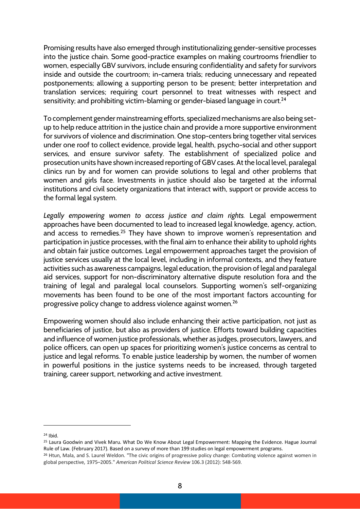Promising results have also emerged through institutionalizing gender-sensitive processes into the justice chain. Some good-practice examples on making courtrooms friendlier to women, especially GBV survivors, include ensuring confidentiality and safety for survivors inside and outside the courtroom; in-camera trials; reducing unnecessary and repeated postponements; allowing a supporting person to be present; better interpretation and translation services; requiring court personnel to treat witnesses with respect and sensitivity; and prohibiting victim-blaming or gender-biased language in court.<sup>24</sup>

To complement gender mainstreaming efforts, specialized mechanisms are also being setup to help reduce attrition in the justice chain and provide a more supportive environment for survivors of violence and discrimination. One stop-centers bring together vital services under one roof to collect evidence, provide legal, health, psycho-social and other support services, and ensure survivor safety. The establishment of specialized police and prosecution units have shown increased reporting of GBV cases. At the local level, paralegal clinics run by and for women can provide solutions to legal and other problems that women and girls face. Investments in justice should also be targeted at the informal institutions and civil society organizations that interact with, support or provide access to the formal legal system.

*Legally empowering women to access justice and claim rights.* Legal empowerment approaches have been documented to lead to increased legal knowledge, agency, action, and access to remedies.<sup>25</sup> They have shown to improve women's representation and participation in justice processes, with the final aim to enhance their ability to uphold rights and obtain fair justice outcomes. Legal empowerment approaches target the provision of justice services usually at the local level, including in informal contexts, and they feature activities such as awareness campaigns, legal education, the provision of legal and paralegal aid services, support for non-discriminatory alternative dispute resolution fora and the training of legal and paralegal local counselors. Supporting women's self-organizing movements has been found to be one of the most important factors accounting for progressive policy change to address violence against women. $^{26}$ 

Empowering women should also include enhancing their active participation, not just as beneficiaries of justice, but also as providers of justice. Efforts toward building capacities and influence of women justice professionals, whether as judges, prosecutors, lawyers, and police officers, can open up spaces for prioritizing women's justice concerns as central to justice and legal reforms. To enable justice leadership by women, the number of women in powerful positions in the justice systems needs to be increased, through targeted training, career support, networking and active investment.

l

<sup>25</sup> Laura Goodwin and Vivek Maru. What Do We Know About Legal Empowerment: Mapping the Evidence. Hague Journal Rule of Law. (February 2017). Based on a survey of more than 199 studies on legal empowerment programs.

<sup>24</sup> Ibid.

<sup>&</sup>lt;sup>26</sup> Htun, Mala, and S. Laurel Weldon. "The civic origins of progressive policy change: Combating violence against women in global perspective, 1975–2005." *American Political Science Review* 106.3 (2012): 548-569.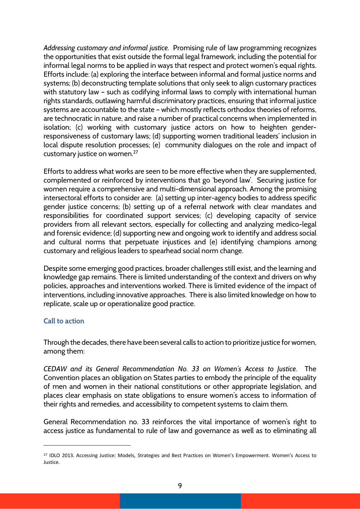*Addressing customary and informal justice.* Promising rule of law programming recognizes the opportunities that exist outside the formal legal framework, including the potential for informal legal norms to be applied in ways that respect and protect women's equal rights. Efforts include: (a) exploring the interface between informal and formal justice norms and systems; (b) deconstructing template solutions that only seek to align customary practices with statutory law - such as codifying informal laws to comply with international human rights standards, outlawing harmful discriminatory practices, ensuring that informal justice systems are accountable to the state – which mostly reflects orthodox theories of reforms, are technocratic in nature, and raise a number of practical concerns when implemented in isolation; (c) working with customary justice actors on how to heighten genderresponsiveness of customary laws; (d) supporting women traditional leaders' inclusion in local dispute resolution processes; (e) community dialogues on the role and impact of customary justice on women.27

Efforts to address what works are seen to be more effective when they are supplemented, complemented or reinforced by interventions that go 'beyond law'. Securing justice for women require a comprehensive and multi-dimensional approach. Among the promising intersectoral efforts to consider are: (a) setting up inter-agency bodies to address specific gender justice concerns; (b) setting up of a referral network with clear mandates and responsibilities for coordinated support services; (c) developing capacity of service providers from all relevant sectors, especially for collecting and analyzing medico-legal and forensic evidence; (d) supporting new and ongoing work to identify and address social and cultural norms that perpetuate injustices and (e) identifying champions among customary and religious leaders to spearhead social norm change.

Despite some emerging good practices, broader challenges still exist, and the learning and knowledge gap remains. There is limited understanding of the context and drivers on why policies, approaches and interventions worked. There is limited evidence of the impact of interventions, including innovative approaches. There is also limited knowledge on how to replicate, scale up or operationalize good practice.

# **Call to action**

 $\overline{\phantom{a}}$ 

Through the decades, there have been several calls to action to prioritize justice for women, among them:

*CEDAW and its General Recommendation No. 33 on Women's Access to Justice*. The Convention places an obligation on States parties to embody the principle of the equality of men and women in their national constitutions or other appropriate legislation, and places clear emphasis on state obligations to ensure women's access to information of their rights and remedies, and accessibility to competent systems to claim them.

General Recommendation no. 33 reinforces the vital importance of women's right to access justice as fundamental to rule of law and governance as well as to eliminating all

<sup>&</sup>lt;sup>27</sup> IDLO 2013. Accessing Justice: Models, Strategies and Best Practices on Women's Empowerment. Women's Access to Justice.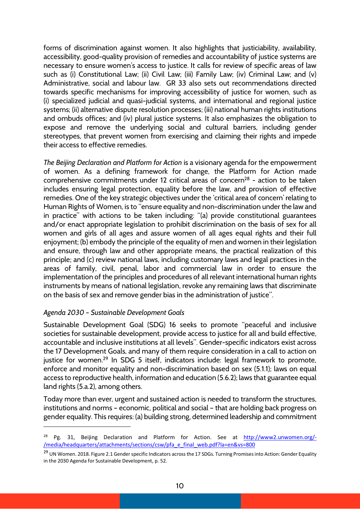forms of discrimination against women. It also highlights that justiciability, availability, accessibility, good-quality provision of remedies and accountability of justice systems are necessary to ensure women's access to justice. It calls for review of specific areas of law such as (i) Constitutional Law; (ii) Civil Law; (iii) Family Law; (iv) Criminal Law; and (v) Administrative, social and labour law. GR 33 also sets out recommendations directed towards specific mechanisms for improving accessibility of justice for women, such as (i) specialized judicial and quasi-judicial systems, and international and regional justice systems; (ii) alternative dispute resolution processes; (iii) national human rights institutions and ombuds offices; and (iv) plural justice systems. It also emphasizes the obligation to expose and remove the underlying social and cultural barriers, including gender stereotypes, that prevent women from exercising and claiming their rights and impede their access to effective remedies.

*The Beijing Declaration and Platform for Action* is a visionary agenda for the empowerment of women. As a defining framework for change, the Platform for Action made comprehensive commitments under 12 critical areas of concern<sup>28</sup> - action to be taken includes ensuring legal protection, equality before the law, and provision of effective remedies. One of the key strategic objectives under the 'critical area of concern' relating to Human Rights of Women, is to "ensure equality and non-discrimination under the law and in practice" with actions to be taken including: "(a) provide constitutional guarantees and/or enact appropriate legislation to prohibit discrimination on the basis of sex for all women and girls of all ages and assure women of all ages equal rights and their full enjoyment; (b) embody the principle of the equality of men and women in their legislation and ensure, through law and other appropriate means, the practical realization of this principle; and (c) review national laws, including customary laws and legal practices in the areas of family, civil, penal, labor and commercial law in order to ensure the implementation of the principles and procedures of all relevant international human rights instruments by means of national legislation, revoke any remaining laws that discriminate on the basis of sex and remove gender bias in the administration of justice".

# *Agenda 2030 – Sustainable Development Goals*

 $\overline{a}$ 

Sustainable Development Goal (SDG) 16 seeks to promote "peaceful and inclusive societies for sustainable development, provide access to justice for all and build effective, accountable and inclusive institutions at all levels". Gender-specific indicators exist across the 17 Development Goals, and many of them require consideration in a call to action on justice for women. <sup>29</sup> In SDG 5 itself, indicators include: legal framework to promote, enforce and monitor equality and non-discrimination based on sex (5.1.1); laws on equal access to reproductive health, information and education (5.6.2); laws that guarantee equal land rights (5.a.2), among others.

Today more than ever, urgent and sustained action is needed to transform the structures, institutions and norms – economic, political and social – that are holding back progress on gender equality. This requires: (a) building strong, determined leadership and commitment

<sup>&</sup>lt;sup>28</sup> Pg. 31, Beijing Declaration and Platform for Action. See at http://www2.unwomen.org/-/media/headquarters/attachments/sections/csw/pfa\_e\_final\_web.pdf?la=en&vs=800

<sup>&</sup>lt;sup>29</sup> UN Women. 2018. Figure 2.1 Gender specific Indicators across the 17 SDGs. Turning Promises into Action: Gender Equality in the 2030 Agenda for Sustainable Development, p. 52.